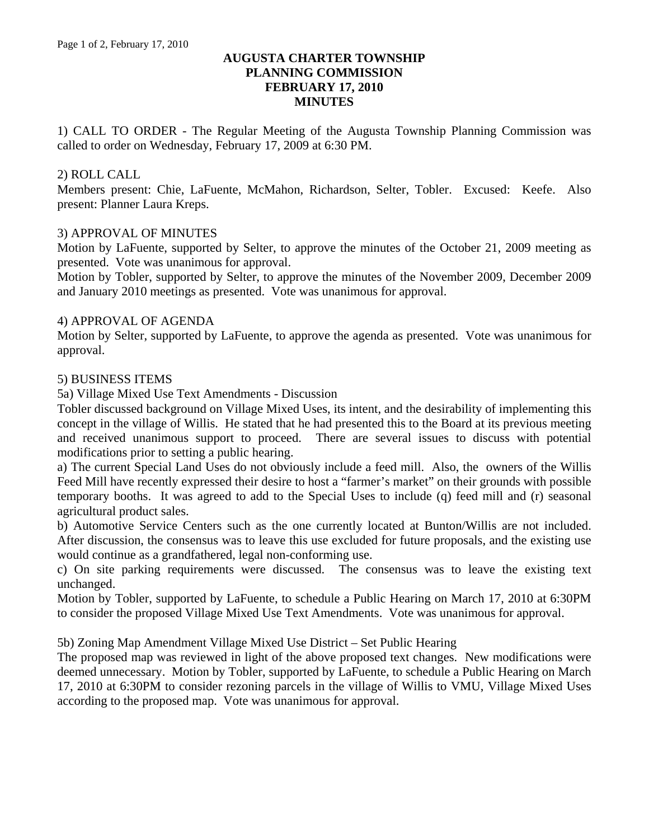# **AUGUSTA CHARTER TOWNSHIP PLANNING COMMISSION FEBRUARY 17, 2010 MINUTES**

1) CALL TO ORDER - The Regular Meeting of the Augusta Township Planning Commission was called to order on Wednesday, February 17, 2009 at 6:30 PM.

## 2) ROLL CALL

Members present: Chie, LaFuente, McMahon, Richardson, Selter, Tobler. Excused: Keefe. Also present: Planner Laura Kreps.

### 3) APPROVAL OF MINUTES

Motion by LaFuente, supported by Selter, to approve the minutes of the October 21, 2009 meeting as presented. Vote was unanimous for approval.

Motion by Tobler, supported by Selter, to approve the minutes of the November 2009, December 2009 and January 2010 meetings as presented. Vote was unanimous for approval.

### 4) APPROVAL OF AGENDA

Motion by Selter, supported by LaFuente, to approve the agenda as presented. Vote was unanimous for approval.

#### 5) BUSINESS ITEMS

5a) Village Mixed Use Text Amendments - Discussion

Tobler discussed background on Village Mixed Uses, its intent, and the desirability of implementing this concept in the village of Willis. He stated that he had presented this to the Board at its previous meeting and received unanimous support to proceed. There are several issues to discuss with potential modifications prior to setting a public hearing.

a) The current Special Land Uses do not obviously include a feed mill. Also, the owners of the Willis Feed Mill have recently expressed their desire to host a "farmer's market" on their grounds with possible temporary booths. It was agreed to add to the Special Uses to include (q) feed mill and (r) seasonal agricultural product sales.

b) Automotive Service Centers such as the one currently located at Bunton/Willis are not included. After discussion, the consensus was to leave this use excluded for future proposals, and the existing use would continue as a grandfathered, legal non-conforming use.

c) On site parking requirements were discussed. The consensus was to leave the existing text unchanged.

Motion by Tobler, supported by LaFuente, to schedule a Public Hearing on March 17, 2010 at 6:30PM to consider the proposed Village Mixed Use Text Amendments. Vote was unanimous for approval.

5b) Zoning Map Amendment Village Mixed Use District – Set Public Hearing

The proposed map was reviewed in light of the above proposed text changes. New modifications were deemed unnecessary. Motion by Tobler, supported by LaFuente, to schedule a Public Hearing on March 17, 2010 at 6:30PM to consider rezoning parcels in the village of Willis to VMU, Village Mixed Uses according to the proposed map. Vote was unanimous for approval.